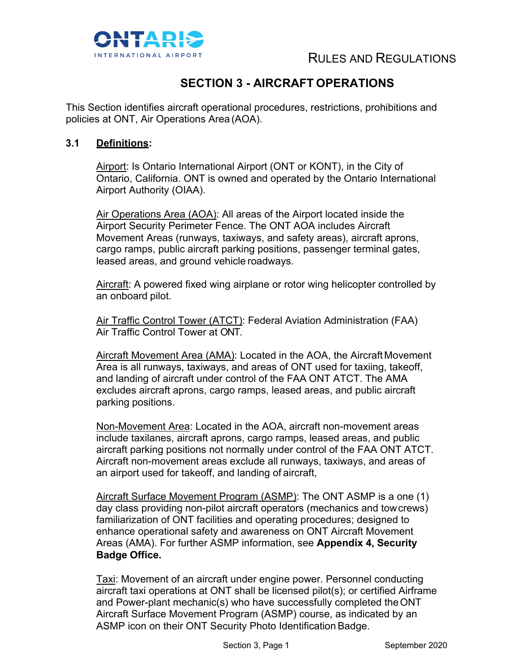

## **SECTION 3 - AIRCRAFT OPERATIONS**

This Section identifies aircraft operational procedures, restrictions, prohibitions and policies at ONT, Air Operations Area (AOA).

#### **3.1 Definitions:**

Airport: Is Ontario International Airport (ONT or KONT), in the City of Ontario, California. ONT is owned and operated by the Ontario International Airport Authority (OIAA).

Air Operations Area (AOA): All areas of the Airport located inside the Airport Security Perimeter Fence. The ONT AOA includes Aircraft Movement Areas (runways, taxiways, and safety areas), aircraft aprons, cargo ramps, public aircraft parking positions, passenger terminal gates, leased areas, and ground vehicle roadways.

Aircraft: A powered fixed wing airplane or rotor wing helicopter controlled by an onboard pilot.

Air Traffic Control Tower (ATCT): Federal Aviation Administration (FAA) Air Traffic Control Tower at ONT.

Aircraft Movement Area (AMA): Located in the AOA, the Aircraft Movement Area is all runways, taxiways, and areas of ONT used for taxiing, takeoff, and landing of aircraft under control of the FAA ONT ATCT. The AMA excludes aircraft aprons, cargo ramps, leased areas, and public aircraft parking positions.

Non-Movement Area: Located in the AOA, aircraft non-movement areas include taxilanes, aircraft aprons, cargo ramps, leased areas, and public aircraft parking positions not normally under control of the FAA ONT ATCT. Aircraft non-movement areas exclude all runways, taxiways, and areas of an airport used for takeoff, and landing of aircraft,

Aircraft Surface Movement Program (ASMP): The ONT ASMP is a one (1) day class providing non-pilot aircraft operators (mechanics and towcrews) familiarization of ONT facilities and operating procedures; designed to enhance operational safety and awareness on ONT Aircraft Movement Areas (AMA). For further ASMP information, see **Appendix 4, Security Badge Office.**

Taxi: Movement of an aircraft under engine power. Personnel conducting aircraft taxi operations at ONT shall be licensed pilot(s); or certified Airframe and Power-plant mechanic(s) who have successfully completed theONT Aircraft Surface Movement Program (ASMP) course, as indicated by an ASMP icon on their ONT Security Photo Identification Badge.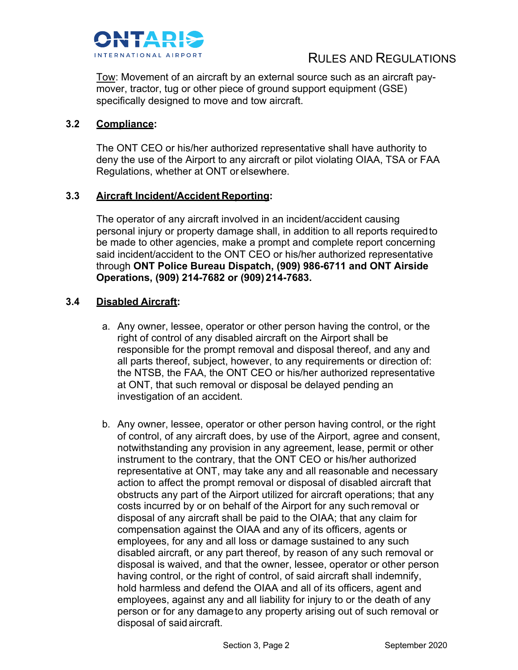

Tow: Movement of an aircraft by an external source such as an aircraft paymover, tractor, tug or other piece of ground support equipment (GSE) specifically designed to move and tow aircraft.

#### **3.2 Compliance:**

The ONT CEO or his/her authorized representative shall have authority to deny the use of the Airport to any aircraft or pilot violating OIAA, TSA or FAA Regulations, whether at ONT or elsewhere.

#### **3.3 Aircraft Incident/Accident Reporting:**

The operator of any aircraft involved in an incident/accident causing personal injury or property damage shall, in addition to all reports requiredto be made to other agencies, make a prompt and complete report concerning said incident/accident to the ONT CEO or his/her authorized representative through **ONT Police Bureau Dispatch, (909) 986-6711 and ONT Airside Operations, (909) 214-7682 or (909) 2 1 4 -7683.**

#### **3.4 Disabled Aircraft:**

- a. Any owner, lessee, operator or other person having the control, or the right of control of any disabled aircraft on the Airport shall be responsible for the prompt removal and disposal thereof, and any and all parts thereof, subject, however, to any requirements or direction of: the NTSB, the FAA, the ONT CEO or his/her authorized representative at ONT, that such removal or disposal be delayed pending an investigation of an accident.
- b. Any owner, lessee, operator or other person having control, or the right of control, of any aircraft does, by use of the Airport, agree and consent, notwithstanding any provision in any agreement, lease, permit or other instrument to the contrary, that the ONT CEO or his/her authorized representative at ONT, may take any and all reasonable and necessary action to affect the prompt removal or disposal of disabled aircraft that obstructs any part of the Airport utilized for aircraft operations; that any costs incurred by or on behalf of the Airport for any such removal or disposal of any aircraft shall be paid to the OIAA; that any claim for compensation against the OIAA and any of its officers, agents or employees, for any and all loss or damage sustained to any such disabled aircraft, or any part thereof, by reason of any such removal or disposal is waived, and that the owner, lessee, operator or other person having control, or the right of control, of said aircraft shall indemnify, hold harmless and defend the OIAA and all of its officers, agent and employees, against any and all liability for injury to or the death of any person or for any damageto any property arising out of such removal or disposal of said aircraft.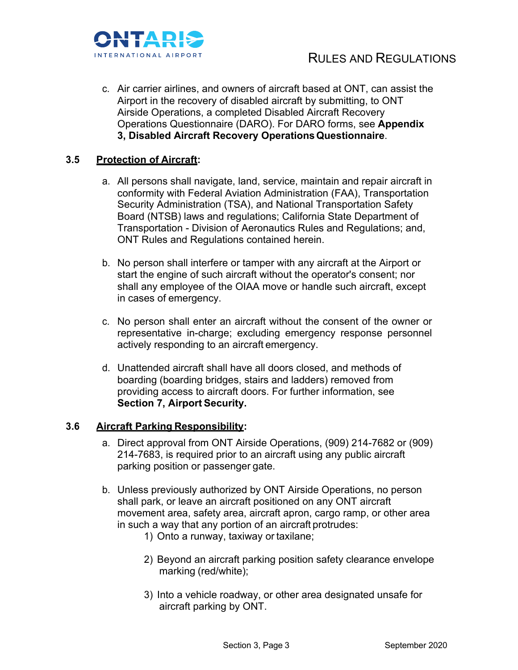

c. Air carrier airlines, and owners of aircraft based at ONT, can assist the Airport in the recovery of disabled aircraft by submitting, to ONT Airside Operations, a completed Disabled Aircraft Recovery Operations Questionnaire (DARO). For DARO forms, see **Appendix 3, Disabled Aircraft Recovery OperationsQuestionnaire**.

#### **3.5 Protection of Aircraft:**

- a. All persons shall navigate, land, service, maintain and repair aircraft in conformity with Federal Aviation Administration (FAA), Transportation Security Administration (TSA), and National Transportation Safety Board (NTSB) laws and regulations; California State Department of Transportation - Division of Aeronautics Rules and Regulations; and, ONT Rules and Regulations contained herein.
- b. No person shall interfere or tamper with any aircraft at the Airport or start the engine of such aircraft without the operator's consent; nor shall any employee of the OIAA move or handle such aircraft, except in cases of emergency.
- c. No person shall enter an aircraft without the consent of the owner or representative in-charge; excluding emergency response personnel actively responding to an aircraft emergency.
- d. Unattended aircraft shall have all doors closed, and methods of boarding (boarding bridges, stairs and ladders) removed from providing access to aircraft doors. For further information, see **Section 7, Airport Security.**

#### **3.6 Aircraft Parking Responsibility:**

- a. Direct approval from ONT Airside Operations, (909) 214-7682 or (909) 214-7683, is required prior to an aircraft using any public aircraft parking position or passenger gate.
- b. Unless previously authorized by ONT Airside Operations, no person shall park, or leave an aircraft positioned on any ONT aircraft movement area, safety area, aircraft apron, cargo ramp, or other area in such a way that any portion of an aircraft protrudes:
	- 1) Onto a runway, taxiway or taxilane;
	- 2) Beyond an aircraft parking position safety clearance envelope marking (red/white);
	- 3) Into a vehicle roadway, or other area designated unsafe for aircraft parking by ONT.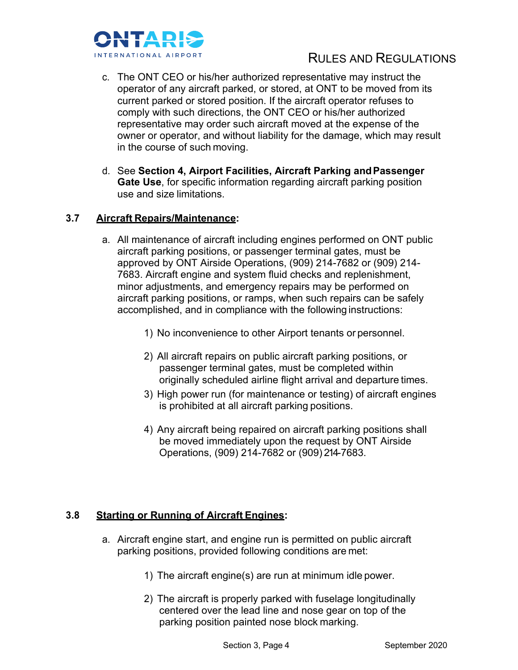

- c. The ONT CEO or his/her authorized representative may instruct the operator of any aircraft parked, or stored, at ONT to be moved from its current parked or stored position. If the aircraft operator refuses to comply with such directions, the ONT CEO or his/her authorized representative may order such aircraft moved at the expense of the owner or operator, and without liability for the damage, which may result in the course of such moving.
- d. See **Section 4, Airport Facilities, Aircraft Parking andPassenger Gate Use**, for specific information regarding aircraft parking position use and size limitations.

#### **3.7 Aircraft Repairs/Maintenance:**

- a. All maintenance of aircraft including engines performed on ONT public aircraft parking positions, or passenger terminal gates, must be approved by ONT Airside Operations, (909) 214-7682 or (909) 214- 7683. Aircraft engine and system fluid checks and replenishment, minor adjustments, and emergency repairs may be performed on aircraft parking positions, or ramps, when such repairs can be safely accomplished, and in compliance with the following instructions:
	- 1) No inconvenience to other Airport tenants or personnel.
	- 2) All aircraft repairs on public aircraft parking positions, or passenger terminal gates, must be completed within originally scheduled airline flight arrival and departure times.
	- 3) High power run (for maintenance or testing) of aircraft engines is prohibited at all aircraft parking positions.
	- 4) Any aircraft being repaired on aircraft parking positions shall be moved immediately upon the request by ONT Airside Operations, (909) 214-7682 or (909) 214-7683.

#### **3.8 Starting or Running of Aircraft Engines:**

- a. Aircraft engine start, and engine run is permitted on public aircraft parking positions, provided following conditions are met:
	- 1) The aircraft engine(s) are run at minimum idle power.
	- 2) The aircraft is properly parked with fuselage longitudinally centered over the lead line and nose gear on top of the parking position painted nose block marking.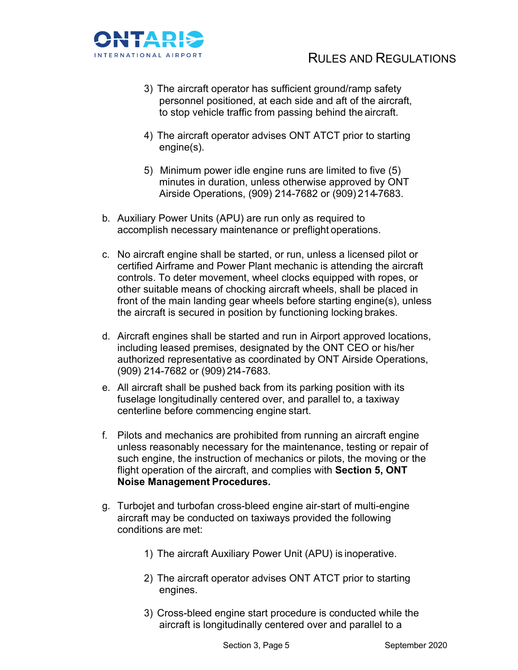

- 3) The aircraft operator has sufficient ground/ramp safety personnel positioned, at each side and aft of the aircraft, to stop vehicle traffic from passing behind the aircraft.
- 4) The aircraft operator advises ONT ATCT prior to starting engine(s).
- 5) Minimum power idle engine runs are limited to five (5) minutes in duration, unless otherwise approved by ONT Airside Operations, (909) 214-7682 or (909) 214-7683.
- b. Auxiliary Power Units (APU) are run only as required to accomplish necessary maintenance or preflight operations.
- c. No aircraft engine shall be started, or run, unless a licensed pilot or certified Airframe and Power Plant mechanic is attending the aircraft controls. To deter movement, wheel clocks equipped with ropes, or other suitable means of chocking aircraft wheels, shall be placed in front of the main landing gear wheels before starting engine(s), unless the aircraft is secured in position by functioning locking brakes.
- d. Aircraft engines shall be started and run in Airport approved locations, including leased premises, designated by the ONT CEO or his/her authorized representative as coordinated by ONT Airside Operations, (909) 214-7682 or (909) 214 -7683.
- e. All aircraft shall be pushed back from its parking position with its fuselage longitudinally centered over, and parallel to, a taxiway centerline before commencing engine start.
- f. Pilots and mechanics are prohibited from running an aircraft engine unless reasonably necessary for the maintenance, testing or repair of such engine, the instruction of mechanics or pilots, the moving or the flight operation of the aircraft, and complies with **Section 5, ONT Noise Management Procedures.**
- g. Turbojet and turbofan cross-bleed engine air-start of multi-engine aircraft may be conducted on taxiways provided the following conditions are met:
	- 1) The aircraft Auxiliary Power Unit (APU) is inoperative.
	- 2) The aircraft operator advises ONT ATCT prior to starting engines.
	- 3) Cross-bleed engine start procedure is conducted while the aircraft is longitudinally centered over and parallel to a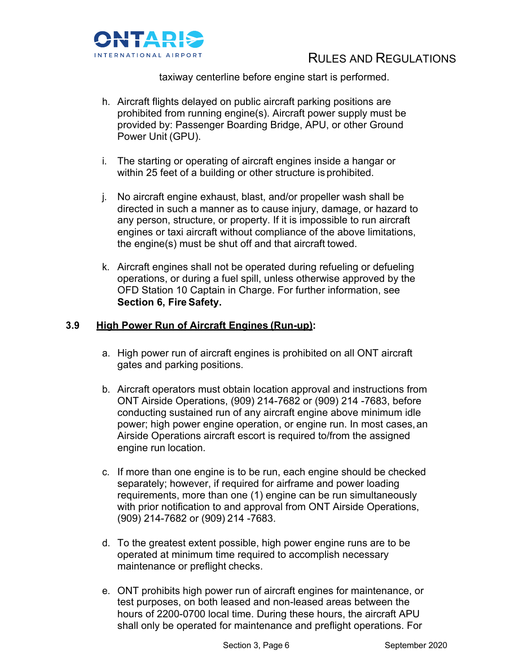

taxiway centerline before engine start is performed.

- h. Aircraft flights delayed on public aircraft parking positions are prohibited from running engine(s). Aircraft power supply must be provided by: Passenger Boarding Bridge, APU, or other Ground Power Unit (GPU).
- i. The starting or operating of aircraft engines inside a hangar or within 25 feet of a building or other structure is prohibited.
- j. No aircraft engine exhaust, blast, and/or propeller wash shall be directed in such a manner as to cause injury, damage, or hazard to any person, structure, or property. If it is impossible to run aircraft engines or taxi aircraft without compliance of the above limitations, the engine(s) must be shut off and that aircraft towed.
- k. Aircraft engines shall not be operated during refueling or defueling operations, or during a fuel spill, unless otherwise approved by the OFD Station 10 Captain in Charge. For further information, see **Section 6, Fire Safety.**

#### **3.9 High Power Run of Aircraft Engines (Run-up):**

- a. High power run of aircraft engines is prohibited on all ONT aircraft gates and parking positions.
- b. Aircraft operators must obtain location approval and instructions from ONT Airside Operations, (909) 214-7682 or (909) 214 -7683, before conducting sustained run of any aircraft engine above minimum idle power; high power engine operation, or engine run. In most cases,an Airside Operations aircraft escort is required to/from the assigned engine run location.
- c. If more than one engine is to be run, each engine should be checked separately; however, if required for airframe and power loading requirements, more than one (1) engine can be run simultaneously with prior notification to and approval from ONT Airside Operations, (909) 214-7682 or (909) 214 -7683.
- d. To the greatest extent possible, high power engine runs are to be operated at minimum time required to accomplish necessary maintenance or preflight checks.
- e. ONT prohibits high power run of aircraft engines for maintenance, or test purposes, on both leased and non-leased areas between the hours of 2200-0700 local time. During these hours, the aircraft APU shall only be operated for maintenance and preflight operations. For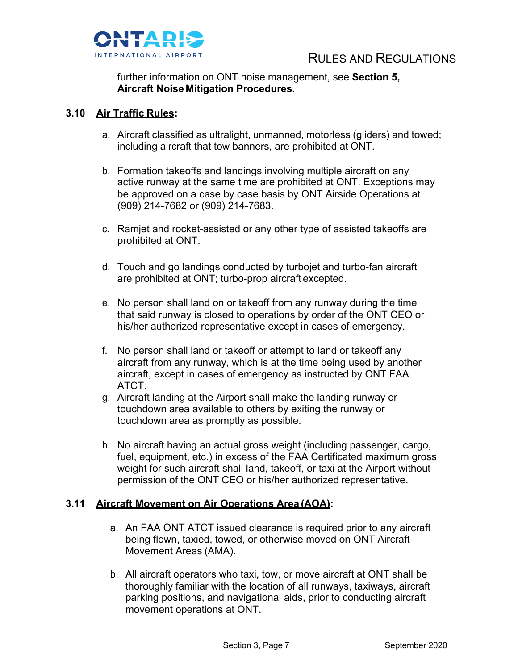

further information on ONT noise management, see **Section 5, Aircraft Noise Mitigation Procedures.**

#### **3.10 Air Traffic Rules:**

- a. Aircraft classified as ultralight, unmanned, motorless (gliders) and towed; including aircraft that tow banners, are prohibited at ONT.
- b. Formation takeoffs and landings involving multiple aircraft on any active runway at the same time are prohibited at ONT. Exceptions may be approved on a case by case basis by ONT Airside Operations at (909) 214-7682 or (909) 214-7683.
- c. Ramjet and rocket-assisted or any other type of assisted takeoffs are prohibited at ONT.
- d. Touch and go landings conducted by turbojet and turbo-fan aircraft are prohibited at ONT; turbo-prop aircraft excepted.
- e. No person shall land on or takeoff from any runway during the time that said runway is closed to operations by order of the ONT CEO or his/her authorized representative except in cases of emergency.
- f. No person shall land or takeoff or attempt to land or takeoff any aircraft from any runway, which is at the time being used by another aircraft, except in cases of emergency as instructed by ONT FAA ATCT.
- g. Aircraft landing at the Airport shall make the landing runway or touchdown area available to others by exiting the runway or touchdown area as promptly as possible.
- h. No aircraft having an actual gross weight (including passenger, cargo, fuel, equipment, etc.) in excess of the FAA Certificated maximum gross weight for such aircraft shall land, takeoff, or taxi at the Airport without permission of the ONT CEO or his/her authorized representative.

#### **3.11 Aircraft Movement on Air Operations Area (AOA):**

- a. An FAA ONT ATCT issued clearance is required prior to any aircraft being flown, taxied, towed, or otherwise moved on ONT Aircraft Movement Areas (AMA).
- b. All aircraft operators who taxi, tow, or move aircraft at ONT shall be thoroughly familiar with the location of all runways, taxiways, aircraft parking positions, and navigational aids, prior to conducting aircraft movement operations at ONT.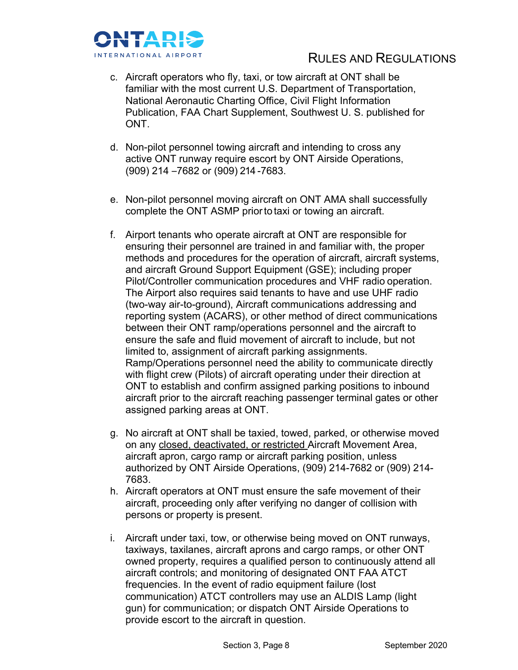

- c. Aircraft operators who fly, taxi, or tow aircraft at ONT shall be familiar with the most current U.S. Department of Transportation, National Aeronautic Charting Office, Civil Flight Information Publication, FAA Chart Supplement, Southwest U. S. published for ONT.
- d. Non-pilot personnel towing aircraft and intending to cross any active ONT runway require escort by ONT Airside Operations, (909) 214 –7682 or (909) 214 -7683.
- e. Non-pilot personnel moving aircraft on ONT AMA shall successfully complete the ONT ASMP prior to taxi or towing an aircraft.
- f. Airport tenants who operate aircraft at ONT are responsible for ensuring their personnel are trained in and familiar with, the proper methods and procedures for the operation of aircraft, aircraft systems, and aircraft Ground Support Equipment (GSE); including proper Pilot/Controller communication procedures and VHF radio operation. The Airport also requires said tenants to have and use UHF radio (two-way air-to-ground), Aircraft communications addressing and reporting system (ACARS), or other method of direct communications between their ONT ramp/operations personnel and the aircraft to ensure the safe and fluid movement of aircraft to include, but not limited to, assignment of aircraft parking assignments. Ramp/Operations personnel need the ability to communicate directly with flight crew (Pilots) of aircraft operating under their direction at ONT to establish and confirm assigned parking positions to inbound aircraft prior to the aircraft reaching passenger terminal gates or other assigned parking areas at ONT.
- g. No aircraft at ONT shall be taxied, towed, parked, or otherwise moved on any closed, deactivated, or restricted Aircraft Movement Area, aircraft apron, cargo ramp or aircraft parking position, unless authorized by ONT Airside Operations, (909) 214-7682 or (909) 214- 7683.
- h. Aircraft operators at ONT must ensure the safe movement of their aircraft, proceeding only after verifying no danger of collision with persons or property is present.
- i. Aircraft under taxi, tow, or otherwise being moved on ONT runways, taxiways, taxilanes, aircraft aprons and cargo ramps, or other ONT owned property, requires a qualified person to continuously attend all aircraft controls; and monitoring of designated ONT FAA ATCT frequencies. In the event of radio equipment failure (lost communication) ATCT controllers may use an ALDIS Lamp (light gun) for communication; or dispatch ONT Airside Operations to provide escort to the aircraft in question.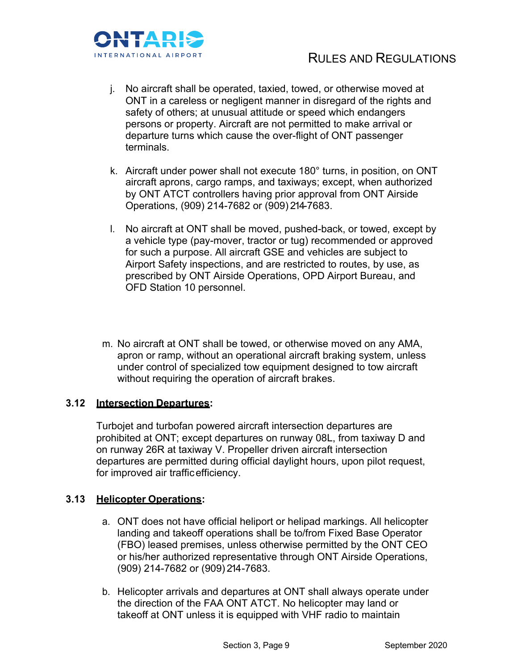

- j. No aircraft shall be operated, taxied, towed, or otherwise moved at ONT in a careless or negligent manner in disregard of the rights and safety of others; at unusual attitude or speed which endangers persons or property. Aircraft are not permitted to make arrival or departure turns which cause the over-flight of ONT passenger terminals.
- k. Aircraft under power shall not execute 180° turns, in position, on ONT aircraft aprons, cargo ramps, and taxiways; except, when authorized by ONT ATCT controllers having prior approval from ONT Airside Operations, (909) 214-7682 or (909) 214-7683.
- l. No aircraft at ONT shall be moved, pushed-back, or towed, except by a vehicle type (pay-mover, tractor or tug) recommended or approved for such a purpose. All aircraft GSE and vehicles are subject to Airport Safety inspections, and are restricted to routes, by use, as prescribed by ONT Airside Operations, OPD Airport Bureau, and OFD Station 10 personnel.
- m. No aircraft at ONT shall be towed, or otherwise moved on any AMA, apron or ramp, without an operational aircraft braking system, unless under control of specialized tow equipment designed to tow aircraft without requiring the operation of aircraft brakes.

#### **3.12 Intersection Departures:**

Turbojet and turbofan powered aircraft intersection departures are prohibited at ONT; except departures on runway 08L, from taxiway D and on runway 26R at taxiway V. Propeller driven aircraft intersection departures are permitted during official daylight hours, upon pilot request, for improved air trafficefficiency.

#### **3.13 Helicopter Operations:**

- a. ONT does not have official heliport or helipad markings. All helicopter landing and takeoff operations shall be to/from Fixed Base Operator (FBO) leased premises, unless otherwise permitted by the ONT CEO or his/her authorized representative through ONT Airside Operations, (909) 214-7682 or (909) 214 -7683.
- b. Helicopter arrivals and departures at ONT shall always operate under the direction of the FAA ONT ATCT. No helicopter may land or takeoff at ONT unless it is equipped with VHF radio to maintain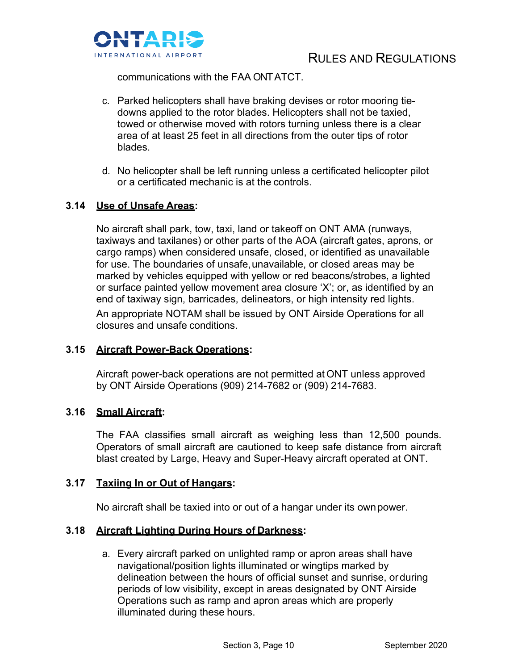

communications with the FAA ONT ATCT.

- c. Parked helicopters shall have braking devises or rotor mooring tiedowns applied to the rotor blades. Helicopters shall not be taxied, towed or otherwise moved with rotors turning unless there is a clear area of at least 25 feet in all directions from the outer tips of rotor blades.
- d. No helicopter shall be left running unless a certificated helicopter pilot or a certificated mechanic is at the controls.

#### **3.14 Use of Unsafe Areas:**

No aircraft shall park, tow, taxi, land or takeoff on ONT AMA (runways, taxiways and taxilanes) or other parts of the AOA (aircraft gates, aprons, or cargo ramps) when considered unsafe, closed, or identified as unavailable for use. The boundaries of unsafe, unavailable, or closed areas may be marked by vehicles equipped with yellow or red beacons/strobes, a lighted or surface painted yellow movement area closure 'X'; or, as identified by an end of taxiway sign, barricades, delineators, or high intensity red lights. An appropriate NOTAM shall be issued by ONT Airside Operations for all closures and unsafe conditions.

#### **3.15 Aircraft Power-Back Operations:**

Aircraft power-back operations are not permitted at ONT unless approved by ONT Airside Operations (909) 214-7682 or (909) 214-7683.

#### **3.16 Small Aircraft:**

The FAA classifies small aircraft as weighing less than 12,500 pounds. Operators of small aircraft are cautioned to keep safe distance from aircraft blast created by Large, Heavy and Super-Heavy aircraft operated at ONT.

#### **3.17 Taxiing In or Out of Hangars:**

No aircraft shall be taxied into or out of a hangar under its ownpower.

#### **3.18 Aircraft Lighting During Hours of Darkness:**

a. Every aircraft parked on unlighted ramp or apron areas shall have navigational/position lights illuminated or wingtips marked by delineation between the hours of official sunset and sunrise, orduring periods of low visibility, except in areas designated by ONT Airside Operations such as ramp and apron areas which are properly illuminated during these hours.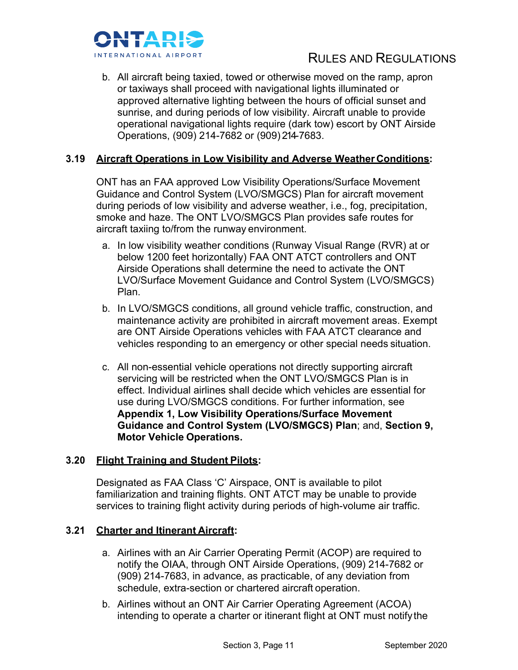

b. All aircraft being taxied, towed or otherwise moved on the ramp, apron or taxiways shall proceed with navigational lights illuminated or approved alternative lighting between the hours of official sunset and sunrise, and during periods of low visibility. Aircraft unable to provide operational navigational lights require (dark tow) escort by ONT Airside Operations, (909) 214-7682 or (909) 214-7683.

#### **3.19 Aircraft Operations in Low Visibility and Adverse Weather Conditions:**

ONT has an FAA approved Low Visibility Operations/Surface Movement Guidance and Control System (LVO/SMGCS) Plan for aircraft movement during periods of low visibility and adverse weather, i.e., fog, precipitation, smoke and haze. The ONT LVO/SMGCS Plan provides safe routes for aircraft taxiing to/from the runway environment.

- a. In low visibility weather conditions (Runway Visual Range (RVR) at or below 1200 feet horizontally) FAA ONT ATCT controllers and ONT Airside Operations shall determine the need to activate the ONT LVO/Surface Movement Guidance and Control System (LVO/SMGCS) Plan.
- b. In LVO/SMGCS conditions, all ground vehicle traffic, construction, and maintenance activity are prohibited in aircraft movement areas. Exempt are ONT Airside Operations vehicles with FAA ATCT clearance and vehicles responding to an emergency or other special needs situation.
- c. All non-essential vehicle operations not directly supporting aircraft servicing will be restricted when the ONT LVO/SMGCS Plan is in effect. Individual airlines shall decide which vehicles are essential for use during LVO/SMGCS conditions. For further information, see **Appendix 1, Low Visibility Operations/Surface Movement Guidance and Control System (LVO/SMGCS) Plan**; and, **Section 9, Motor Vehicle Operations.**

#### **3.20 Flight Training and Student Pilots:**

Designated as FAA Class 'C' Airspace, ONT is available to pilot familiarization and training flights. ONT ATCT may be unable to provide services to training flight activity during periods of high-volume air traffic.

#### **3.21 Charter and Itinerant Aircraft:**

- a. Airlines with an Air Carrier Operating Permit (ACOP) are required to notify the OIAA, through ONT Airside Operations, (909) 214-7682 or (909) 214-7683, in advance, as practicable, of any deviation from schedule, extra-section or chartered aircraft operation.
- b. Airlines without an ONT Air Carrier Operating Agreement (ACOA) intending to operate a charter or itinerant flight at ONT must notifythe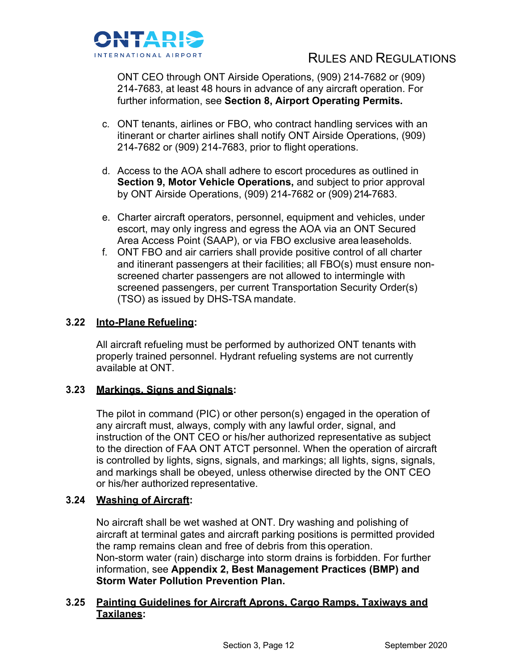

ONT CEO through ONT Airside Operations, (909) 214-7682 or (909) 214-7683, at least 48 hours in advance of any aircraft operation. For further information, see **Section 8, Airport Operating Permits.**

- c. ONT tenants, airlines or FBO, who contract handling services with an itinerant or charter airlines shall notify ONT Airside Operations, (909) 214-7682 or (909) 214-7683, prior to flight operations.
- d. Access to the AOA shall adhere to escort procedures as outlined in **Section 9. Motor Vehicle Operations, and subject to prior approval** by ONT Airside Operations, (909) 214-7682 or (909) 214-7683.
- e. Charter aircraft operators, personnel, equipment and vehicles, under escort, may only ingress and egress the AOA via an ONT Secured Area Access Point (SAAP), or via FBO exclusive area leaseholds.
- f. ONT FBO and air carriers shall provide positive control of all charter and itinerant passengers at their facilities; all FBO(s) must ensure nonscreened charter passengers are not allowed to intermingle with screened passengers, per current Transportation Security Order(s) (TSO) as issued by DHS-TSA mandate.

#### **3.22 Into-Plane Refueling:**

All aircraft refueling must be performed by authorized ONT tenants with properly trained personnel. Hydrant refueling systems are not currently available at ONT.

#### **3.23 Markings, Signs and Signals:**

The pilot in command (PIC) or other person(s) engaged in the operation of any aircraft must, always, comply with any lawful order, signal, and instruction of the ONT CEO or his/her authorized representative as subject to the direction of FAA ONT ATCT personnel. When the operation of aircraft is controlled by lights, signs, signals, and markings; all lights, signs, signals, and markings shall be obeyed, unless otherwise directed by the ONT CEO or his/her authorized representative.

#### **3.24 Washing of Aircraft:**

No aircraft shall be wet washed at ONT. Dry washing and polishing of aircraft at terminal gates and aircraft parking positions is permitted provided the ramp remains clean and free of debris from this operation. Non-storm water (rain) discharge into storm drains is forbidden. For further information, see **Appendix 2, Best Management Practices (BMP) and Storm Water Pollution Prevention Plan.**

#### **3.25 Painting Guidelines for Aircraft Aprons, Cargo Ramps, Taxiways and Taxilanes:**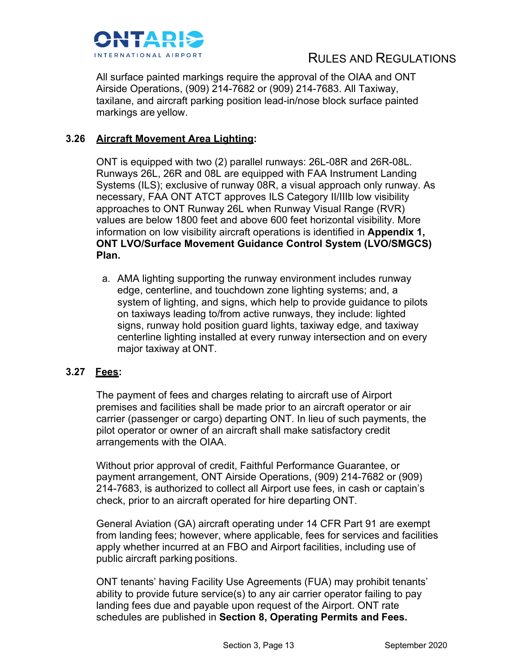

All surface painted markings require the approval of the OIAA and ONT Airside Operations, (909) 214-7682 or (909) 214-7683. All Taxiway, taxilane, and aircraft parking position lead-in/nose block surface painted markings are yellow.

#### **3.26 Aircraft Movement Area Lighting:**

ONT is equipped with two (2) parallel runways: 26L-08R and 26R-08L. Runways 26L, 26R and 08L are equipped with FAA Instrument Landing Systems (ILS); exclusive of runway 08R, a visual approach only runway. As necessary, FAA ONT ATCT approves ILS Category II/IIIb low visibility approaches to ONT Runway 26L when Runway Visual Range (RVR) values are below 1800 feet and above 600 feet horizontal visibility. More information on low visibility aircraft operations is identified in **Appendix 1, ONT LVO/Surface Movement Guidance Control System (LVO/SMGCS) Plan.**

a. AMA lighting supporting the runway environment includes runway edge, centerline, and touchdown zone lighting systems; and, a system of lighting, and signs, which help to provide guidance to pilots on taxiways leading to/from active runways, they include: lighted signs, runway hold position guard lights, taxiway edge, and taxiway centerline lighting installed at every runway intersection and on every major taxiway at ONT.

#### **3.27 Fees:**

The payment of fees and charges relating to aircraft use of Airport premises and facilities shall be made prior to an aircraft operator or air carrier (passenger or cargo) departing ONT. In lieu of such payments, the pilot operator or owner of an aircraft shall make satisfactory credit arrangements with the OIAA.

Without prior approval of credit, Faithful Performance Guarantee, or payment arrangement, ONT Airside Operations, (909) 214-7682 or (909) 214-7683, is authorized to collect all Airport use fees, in cash or captain's check, prior to an aircraft operated for hire departing ONT.

General Aviation (GA) aircraft operating under 14 CFR Part 91 are exempt from landing fees; however, where applicable, fees for services and facilities apply whether incurred at an FBO and Airport facilities, including use of public aircraft parking positions.

ONT tenants' having Facility Use Agreements (FUA) may prohibit tenants' ability to provide future service(s) to any air carrier operator failing to pay landing fees due and payable upon request of the Airport. ONT rate schedules are published in **Section 8, Operating Permits and Fees.**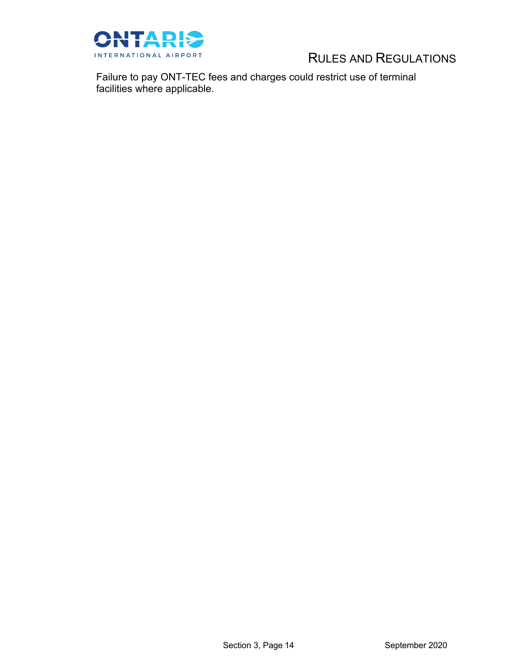

Failure to pay ONT-TEC fees and charges could restrict use of terminal facilities where applicable.